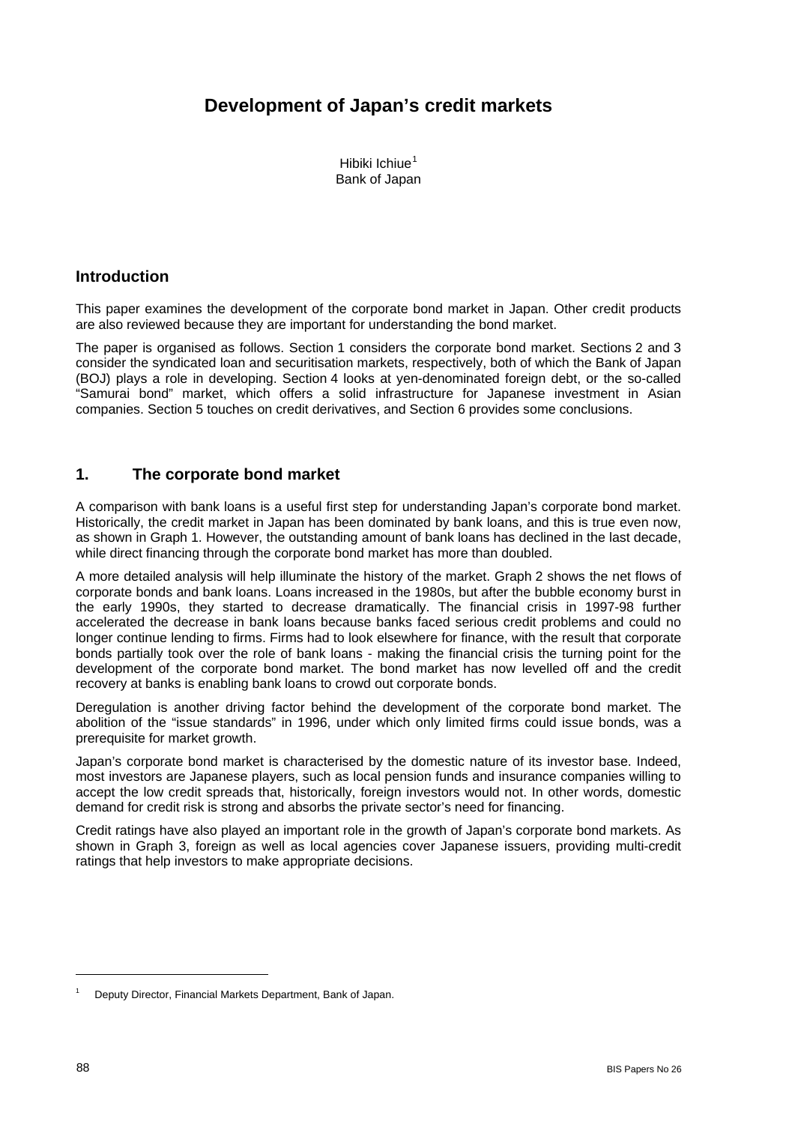# **Development of Japan's credit markets**

Hibiki Ichiue<sup>[1](#page-0-0)</sup> Bank of Japan

#### **Introduction**

This paper examines the development of the corporate bond market in Japan. Other credit products are also reviewed because they are important for understanding the bond market.

The paper is organised as follows. Section 1 considers the corporate bond market. Sections 2 and 3 consider the syndicated loan and securitisation markets, respectively, both of which the Bank of Japan (BOJ) plays a role in developing. Section 4 looks at yen-denominated foreign debt, or the so-called "Samurai bond" market, which offers a solid infrastructure for Japanese investment in Asian companies. Section 5 touches on credit derivatives, and Section 6 provides some conclusions.

#### **1. The corporate bond market**

A comparison with bank loans is a useful first step for understanding Japan's corporate bond market. Historically, the credit market in Japan has been dominated by bank loans, and this is true even now, as shown in Graph 1. However, the outstanding amount of bank loans has declined in the last decade, while direct financing through the corporate bond market has more than doubled.

A more detailed analysis will help illuminate the history of the market. Graph 2 shows the net flows of corporate bonds and bank loans. Loans increased in the 1980s, but after the bubble economy burst in the early 1990s, they started to decrease dramatically. The financial crisis in 1997-98 further accelerated the decrease in bank loans because banks faced serious credit problems and could no longer continue lending to firms. Firms had to look elsewhere for finance, with the result that corporate bonds partially took over the role of bank loans - making the financial crisis the turning point for the development of the corporate bond market. The bond market has now levelled off and the credit recovery at banks is enabling bank loans to crowd out corporate bonds.

Deregulation is another driving factor behind the development of the corporate bond market. The abolition of the "issue standards" in 1996, under which only limited firms could issue bonds, was a prerequisite for market growth.

Japan's corporate bond market is characterised by the domestic nature of its investor base. Indeed, most investors are Japanese players, such as local pension funds and insurance companies willing to accept the low credit spreads that, historically, foreign investors would not. In other words, domestic demand for credit risk is strong and absorbs the private sector's need for financing.

Credit ratings have also played an important role in the growth of Japan's corporate bond markets. As shown in Graph 3, foreign as well as local agencies cover Japanese issuers, providing multi-credit ratings that help investors to make appropriate decisions.

l

<span id="page-0-0"></span><sup>1</sup> Deputy Director, Financial Markets Department, Bank of Japan.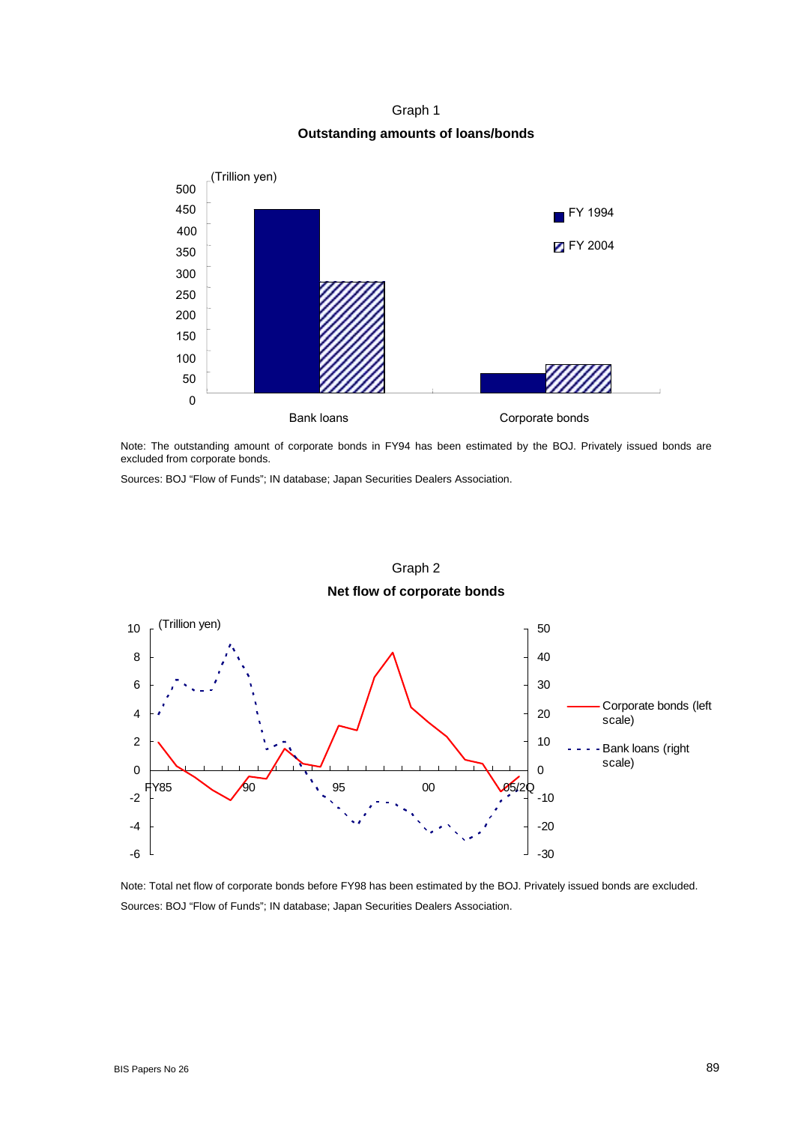Graph 1 **Outstanding amounts of loans/bonds** 



Note: The outstanding amount of corporate bonds in FY94 has been estimated by the BOJ. Privately issued bonds are excluded from corporate bonds.

Sources: BOJ "Flow of Funds"; IN database; Japan Securities Dealers Association.

#### **Net flow of corporate bonds**  -6 -4 -2 0 2 4 6 8 10 FY85 190 95 00 195/20 -30 -20 -10 0 10 20 30 40 50 Corporate bonds (left scale) Bank loans (right scale) (Trillion yen)

Graph 2

Note: Total net flow of corporate bonds before FY98 has been estimated by the BOJ. Privately issued bonds are excluded. Sources: BOJ "Flow of Funds"; IN database; Japan Securities Dealers Association.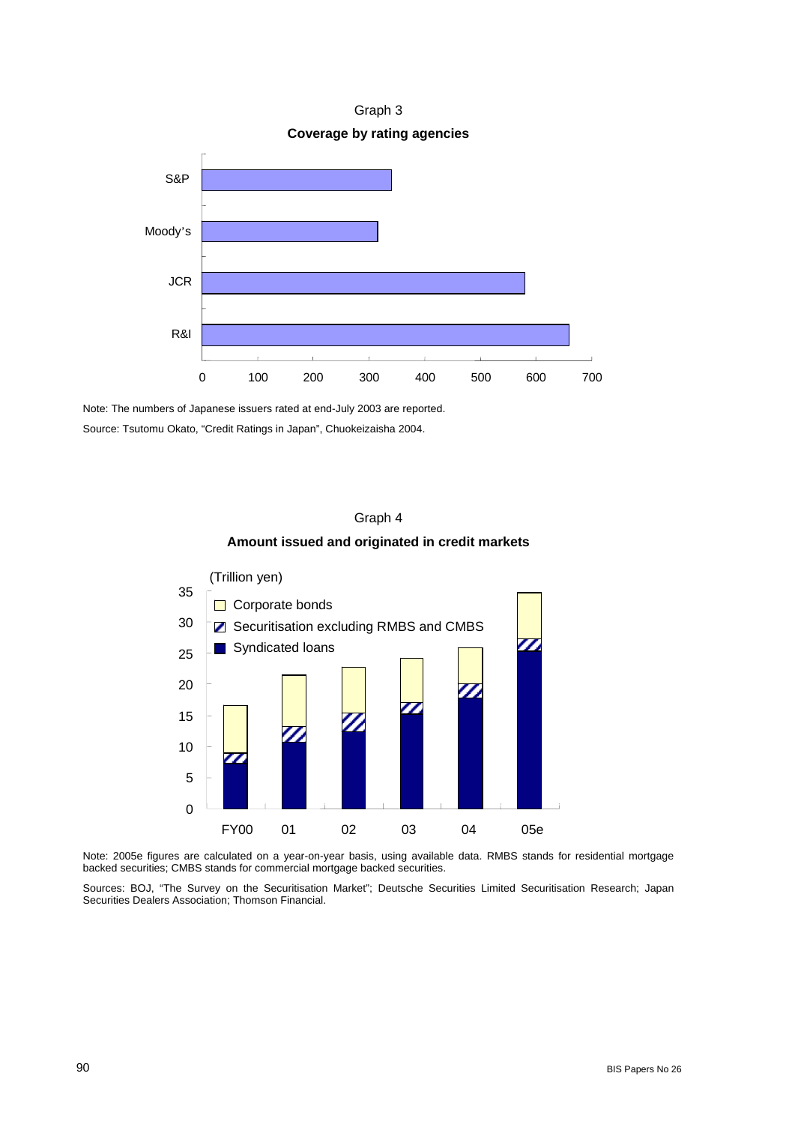Graph 3 **Coverage by rating agencies** 



Note: The numbers of Japanese issuers rated at end-July 2003 are reported. Source: Tsutomu Okato, "Credit Ratings in Japan", Chuokeizaisha 2004.





Note: 2005e figures are calculated on a year-on-year basis, using available data. RMBS stands for residential mortgage backed securities; CMBS stands for commercial mortgage backed securities.

Sources: BOJ, "The Survey on the Securitisation Market"; Deutsche Securities Limited Securitisation Research; Japan Securities Dealers Association; Thomson Financial.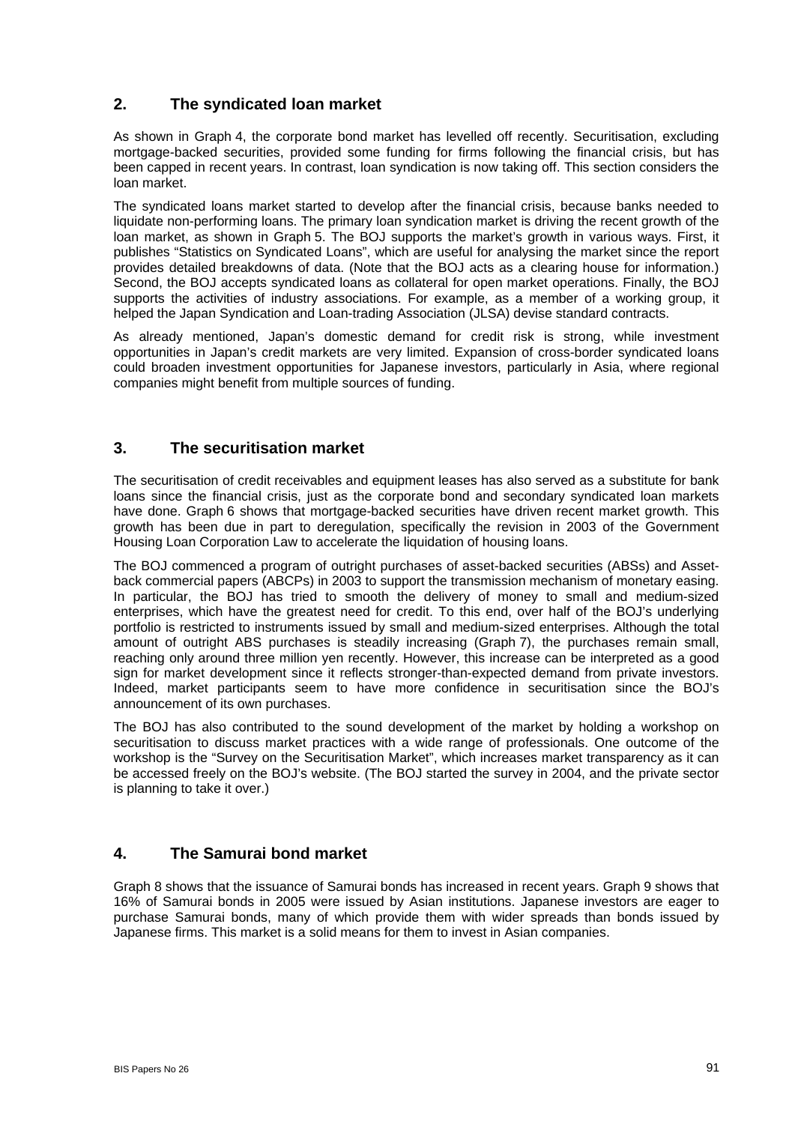## **2. The syndicated loan market**

As shown in Graph 4, the corporate bond market has levelled off recently. Securitisation, excluding mortgage-backed securities, provided some funding for firms following the financial crisis, but has been capped in recent years. In contrast, loan syndication is now taking off. This section considers the loan market.

The syndicated loans market started to develop after the financial crisis, because banks needed to liquidate non-performing loans. The primary loan syndication market is driving the recent growth of the loan market, as shown in Graph 5. The BOJ supports the market's growth in various ways. First, it publishes "Statistics on Syndicated Loans", which are useful for analysing the market since the report provides detailed breakdowns of data. (Note that the BOJ acts as a clearing house for information.) Second, the BOJ accepts syndicated loans as collateral for open market operations. Finally, the BOJ supports the activities of industry associations. For example, as a member of a working group, it helped the Japan Syndication and Loan-trading Association (JLSA) devise standard contracts.

As already mentioned, Japan's domestic demand for credit risk is strong, while investment opportunities in Japan's credit markets are very limited. Expansion of cross-border syndicated loans could broaden investment opportunities for Japanese investors, particularly in Asia, where regional companies might benefit from multiple sources of funding.

## **3. The securitisation market**

The securitisation of credit receivables and equipment leases has also served as a substitute for bank loans since the financial crisis, just as the corporate bond and secondary syndicated loan markets have done. Graph 6 shows that mortgage-backed securities have driven recent market growth. This growth has been due in part to deregulation, specifically the revision in 2003 of the Government Housing Loan Corporation Law to accelerate the liquidation of housing loans.

The BOJ commenced a program of outright purchases of asset-backed securities (ABSs) and Assetback commercial papers (ABCPs) in 2003 to support the transmission mechanism of monetary easing. In particular, the BOJ has tried to smooth the delivery of money to small and medium-sized enterprises, which have the greatest need for credit. To this end, over half of the BOJ's underlying portfolio is restricted to instruments issued by small and medium-sized enterprises. Although the total amount of outright ABS purchases is steadily increasing (Graph 7), the purchases remain small, reaching only around three million yen recently. However, this increase can be interpreted as a good sign for market development since it reflects stronger-than-expected demand from private investors. Indeed, market participants seem to have more confidence in securitisation since the BOJ's announcement of its own purchases.

The BOJ has also contributed to the sound development of the market by holding a workshop on securitisation to discuss market practices with a wide range of professionals. One outcome of the workshop is the "Survey on the Securitisation Market", which increases market transparency as it can be accessed freely on the BOJ's website. (The BOJ started the survey in 2004, and the private sector is planning to take it over.)

## **4. The Samurai bond market**

Graph 8 shows that the issuance of Samurai bonds has increased in recent years. Graph 9 shows that 16% of Samurai bonds in 2005 were issued by Asian institutions. Japanese investors are eager to purchase Samurai bonds, many of which provide them with wider spreads than bonds issued by Japanese firms. This market is a solid means for them to invest in Asian companies.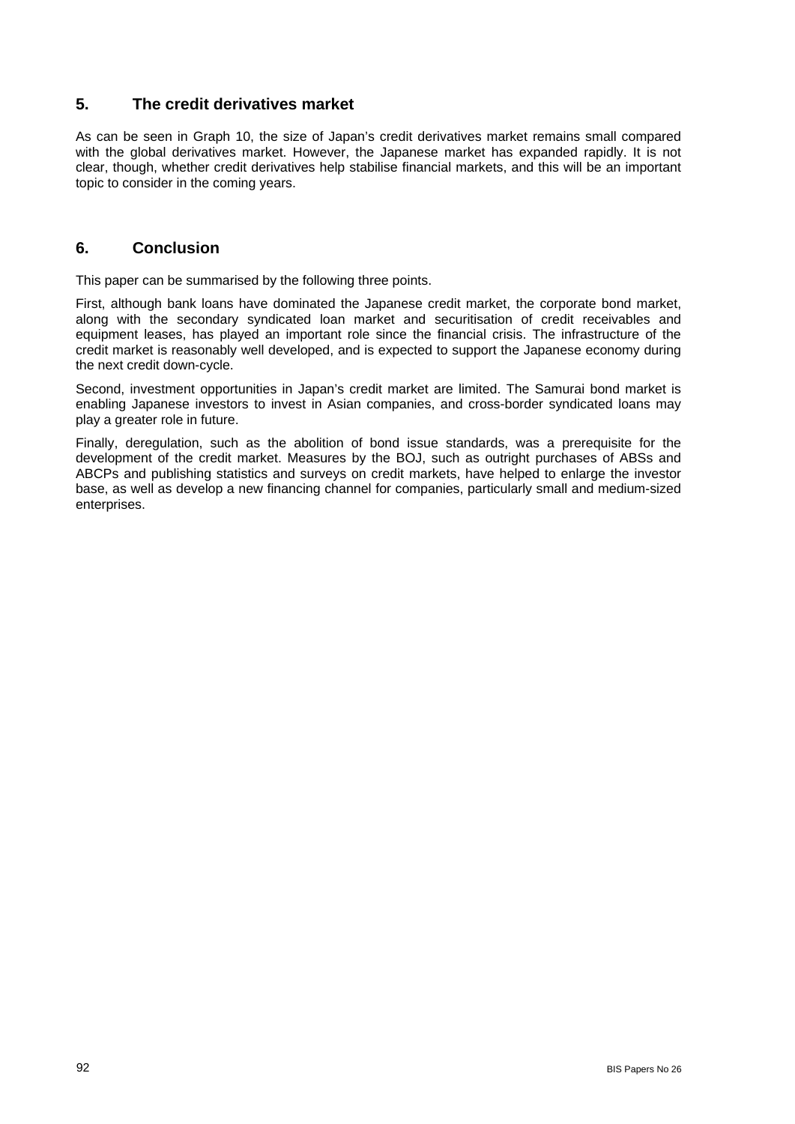#### **5. The credit derivatives market**

As can be seen in Graph 10, the size of Japan's credit derivatives market remains small compared with the global derivatives market. However, the Japanese market has expanded rapidly. It is not clear, though, whether credit derivatives help stabilise financial markets, and this will be an important topic to consider in the coming years.

#### **6. Conclusion**

This paper can be summarised by the following three points.

First, although bank loans have dominated the Japanese credit market, the corporate bond market, along with the secondary syndicated loan market and securitisation of credit receivables and equipment leases, has played an important role since the financial crisis. The infrastructure of the credit market is reasonably well developed, and is expected to support the Japanese economy during the next credit down-cycle.

Second, investment opportunities in Japan's credit market are limited. The Samurai bond market is enabling Japanese investors to invest in Asian companies, and cross-border syndicated loans may play a greater role in future.

Finally, deregulation, such as the abolition of bond issue standards, was a prerequisite for the development of the credit market. Measures by the BOJ, such as outright purchases of ABSs and ABCPs and publishing statistics and surveys on credit markets, have helped to enlarge the investor base, as well as develop a new financing channel for companies, particularly small and medium-sized enterprises.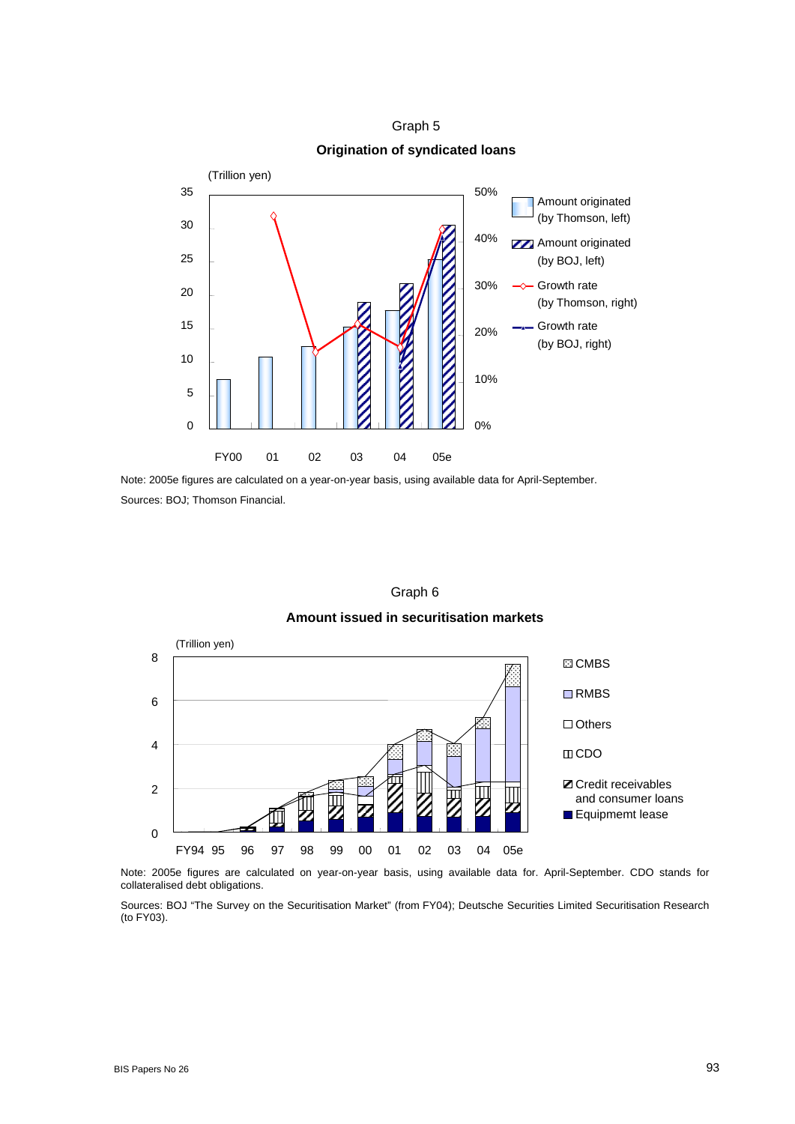$\Omega$ 5 10 15 20 25 30 35 FY00 01 02 03 04 05e 0% 10% 20% 30% 40% 50% Amount originated (by Thomson, left) **ZZ** Amount originated (by BOJ, left) Growth rate (by Thomson, right) Growth rate (by BOJ, right) (Trillion yen)

Graph 5 **Origination of syndicated loans** 

Note: 2005e figures are calculated on a year-on-year basis, using available data for April-September. Sources: BOJ; Thomson Financial.

#### Graph 6

#### **Amount issued in securitisation markets**



Note: 2005e figures are calculated on year-on-year basis, using available data for. April-September. CDO stands for collateralised debt obligations.

Sources: BOJ "The Survey on the Securitisation Market" (from FY04); Deutsche Securities Limited Securitisation Research (to FY03).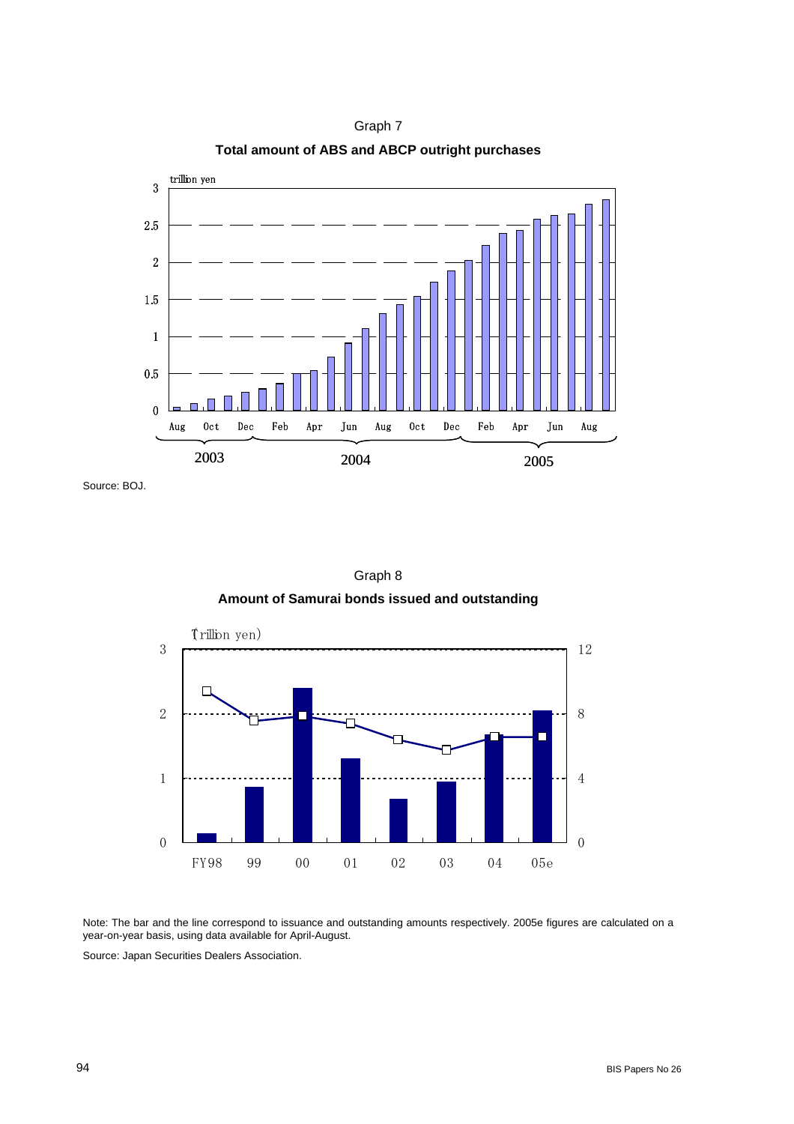

Graph 7 **Total amount of ABS and ABCP outright purchases** 

Source: BOJ.



Graph 8 **Amount of Samurai bonds issued and outstanding**

Note: The bar and the line correspond to issuance and outstanding amounts respectively. 2005e figures are calculated on a year-on-year basis, using data available for April-August.

Source: Japan Securities Dealers Association.